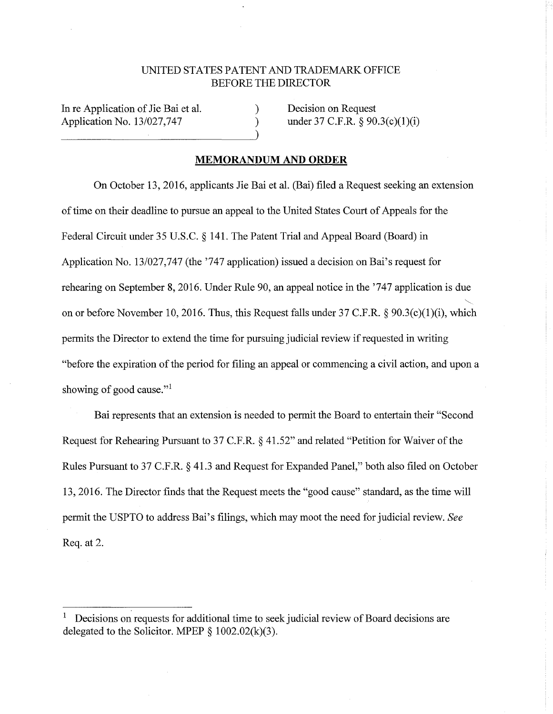## UNITED STATES PATENT AND TRADEMARK OFFICE BEFORE THE DIRECTOR

) )

In re Application of Jie Bai et al. Application No. 13/027,747

Decision on Request under 37 C.F.R. § 90.3(c)(1)(i)

## **MEMORANDUM AND ORDER**

On October 13, 2016, applicants Jie Bai et al. (Bai) filed a Request seeking an extension of time on their deadline to pursue an appeal to the United States Court of Appeals for the Federal Circuit under 35 U.S.C. § 141. The Patent Trial and Appeal Board (Board) in Application No. 13/027,747 (the '747 application) issued a decision on Bai's request for rehearing on September 8, 2016. Under Rule 90, an appeal notice in the '747 application is due ~ on or before November 10, 2016. Thus, this Request falls under 37 C.F.R. § 90.3(c)(l)(i), which permits the Director to extend the time for pursuing judicial review if requested in writing "before the expiration of the period for filing an appeal or commencing a civil action, and upon a showing of good cause."<sup>1</sup>

Bai represents that an extension is needed to permit the Board to entertain their "Second Request for Rehearing Pursuant to 37 C.F.R. § 41.52" and related "Petition for Waiver of the Rules Pursuant to 37 C.F.R. § 41.3 and Request for Expanded Panel," both also filed on October 13, 2016. The Director finds that the Request meets the "good cause" standard, as the time will permit the USPTO to address Bai's filings, which may moot the need for judicial review. *See*  Req. at 2.

<sup>1</sup> Decisions on requests for additional time to seek judicial review of Board decisions are delegated to the Solicitor. MPEP  $\S$  1002.02(k)(3).